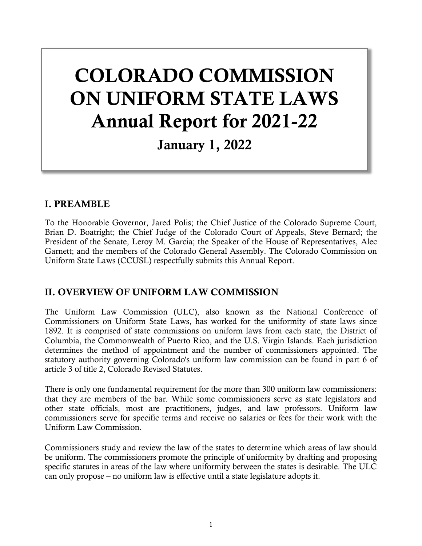# COLORADO COMMISSION ON UNIFORM STATE LAWS Annual Report for 2021-22

## January 1, 2022

#### I. PREAMBLE

To the Honorable Governor, Jared Polis; the Chief Justice of the Colorado Supreme Court, Brian D. Boatright; the Chief Judge of the Colorado Court of Appeals, Steve Bernard; the President of the Senate, Leroy M. Garcia; the Speaker of the House of Representatives, Alec Garnett; and the members of the Colorado General Assembly. The Colorado Commission on Uniform State Laws (CCUSL) respectfully submits this Annual Report.

#### II. OVERVIEW OF UNIFORM LAW COMMISSION

The Uniform Law Commission (ULC), also known as the National Conference of Commissioners on Uniform State Laws, has worked for the uniformity of state laws since 1892. It is comprised of state commissions on uniform laws from each state, the District of Columbia, the Commonwealth of Puerto Rico, and the U.S. Virgin Islands. Each jurisdiction determines the method of appointment and the number of commissioners appointed. The statutory authority governing Colorado's uniform law commission can be found in part 6 of article 3 of title 2, Colorado Revised Statutes.

There is only one fundamental requirement for the more than 300 uniform law commissioners: that they are members of the bar. While some commissioners serve as state legislators and other state officials, most are practitioners, judges, and law professors. Uniform law commissioners serve for specific terms and receive no salaries or fees for their work with the Uniform Law Commission.

Commissioners study and review the law of the states to determine which areas of law should be uniform. The commissioners promote the principle of uniformity by drafting and proposing specific statutes in areas of the law where uniformity between the states is desirable. The ULC can only propose – no uniform law is effective until a state legislature adopts it.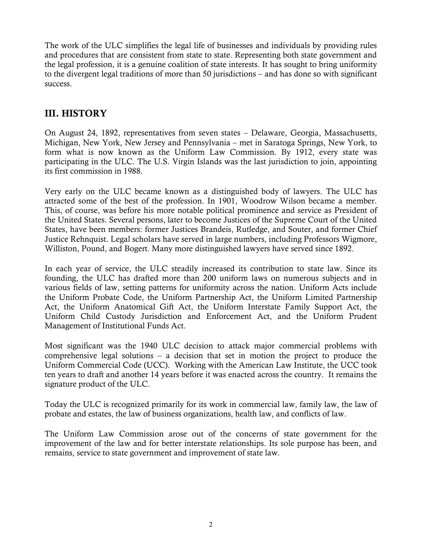The work of the ULC simplifies the legal life of businesses and individuals by providing rules and procedures that are consistent from state to state. Representing both state government and the legal profession, it is a genuine coalition of state interests. It has sought to bring uniformity to the divergent legal traditions of more than 50 jurisdictions – and has done so with significant success.

#### III. HISTORY

On August 24, 1892, representatives from seven states – Delaware, Georgia, Massachusetts, Michigan, New York, New Jersey and Pennsylvania – met in Saratoga Springs, New York, to form what is now known as the Uniform Law Commission. By 1912, every state was participating in the ULC. The U.S. Virgin Islands was the last jurisdiction to join, appointing its first commission in 1988.

Very early on the ULC became known as a distinguished body of lawyers. The ULC has attracted some of the best of the profession. In 1901, Woodrow Wilson became a member. This, of course, was before his more notable political prominence and service as President of the United States. Several persons, later to become Justices of the Supreme Court of the United States, have been members: former Justices Brandeis, Rutledge, and Souter, and former Chief Justice Rehnquist. Legal scholars have served in large numbers, including Professors Wigmore, Williston, Pound, and Bogert. Many more distinguished lawyers have served since 1892.

In each year of service, the ULC steadily increased its contribution to state law. Since its founding, the ULC has drafted more than 200 uniform laws on numerous subjects and in various fields of law, setting patterns for uniformity across the nation. Uniform Acts include the Uniform Probate Code, the Uniform Partnership Act, the Uniform Limited Partnership Act, the Uniform Anatomical Gift Act, the Uniform Interstate Family Support Act, the Uniform Child Custody Jurisdiction and Enforcement Act, and the Uniform Prudent Management of Institutional Funds Act.

Most significant was the 1940 ULC decision to attack major commercial problems with comprehensive legal solutions – a decision that set in motion the project to produce the Uniform Commercial Code (UCC). Working with the American Law Institute, the UCC took ten years to draft and another 14 years before it was enacted across the country. It remains the signature product of the ULC.

Today the ULC is recognized primarily for its work in commercial law, family law, the law of probate and estates, the law of business organizations, health law, and conflicts of law.

The Uniform Law Commission arose out of the concerns of state government for the improvement of the law and for better interstate relationships. Its sole purpose has been, and remains, service to state government and improvement of state law.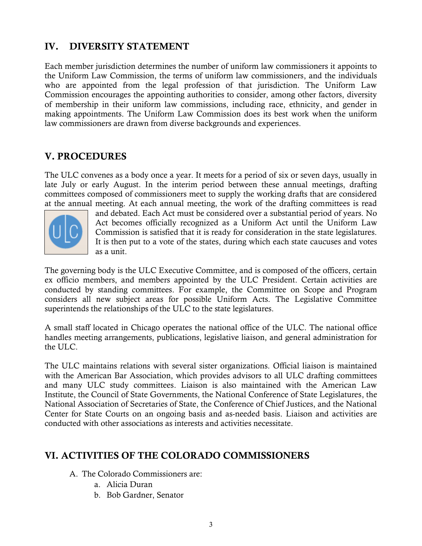#### IV. DIVERSITY STATEMENT

Each member jurisdiction determines the number of uniform law commissioners it appoints to the Uniform Law Commission, the terms of uniform law commissioners, and the individuals who are appointed from the legal profession of that jurisdiction. The Uniform Law Commission encourages the appointing authorities to consider, among other factors, diversity of membership in their uniform law commissions, including race, ethnicity, and gender in making appointments. The Uniform Law Commission does its best work when the uniform law commissioners are drawn from diverse backgrounds and experiences.

### V. PROCEDURES

The ULC convenes as a body once a year. It meets for a period of six or seven days, usually in late July or early August. In the interim period between these annual meetings, drafting committees composed of commissioners meet to supply the working drafts that are considered at the annual meeting. At each annual meeting, the work of the drafting committees is read



and debated. Each Act must be considered over a substantial period of years. No Act becomes officially recognized as a Uniform Act until the Uniform Law Commission is satisfied that it is ready for consideration in the state legislatures. It is then put to a vote of the states, during which each state caucuses and votes as a unit.

The governing body is the ULC Executive Committee, and is composed of the officers, certain ex officio members, and members appointed by the ULC President. Certain activities are conducted by standing committees. For example, the Committee on Scope and Program considers all new subject areas for possible Uniform Acts. The Legislative Committee superintends the relationships of the ULC to the state legislatures.

A small staff located in Chicago operates the national office of the ULC. The national office handles meeting arrangements, publications, legislative liaison, and general administration for the  $\text{ULC}$ .

The ULC maintains relations with several sister organizations. Official liaison is maintained with the American Bar Association, which provides advisors to all ULC drafting committees and many ULC study committees. Liaison is also maintained with the American Law Institute, the Council of State Governments, the National Conference of State Legislatures, the National Association of Secretaries of State, the Conference of Chief Justices, and the National Center for State Courts on an ongoing basis and as-needed basis. Liaison and activities are conducted with other associations as interests and activities necessitate.

#### VI. ACTIVITIES OF THE COLORADO COMMISSIONERS

- A. The Colorado Commissioners are:
	- a. Alicia Duran
	- b. Bob Gardner, Senator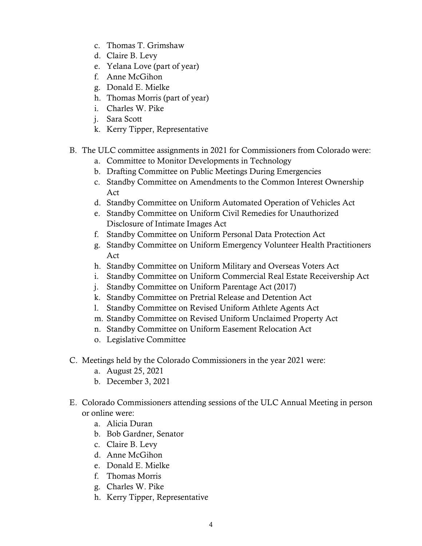- c. Thomas T. Grimshaw
- d. Claire B. Levy
- e. Yelana Love (part of year)
- f. Anne McGihon
- g. Donald E. Mielke
- h. Thomas Morris (part of year)
- i. Charles W. Pike
- j. Sara Scott
- k. Kerry Tipper, Representative
- B. The ULC committee assignments in 2021 for Commissioners from Colorado were:
	- a. Committee to Monitor Developments in Technology
	- b. Drafting Committee on Public Meetings During Emergencies
	- c. Standby Committee on Amendments to the Common Interest Ownership Act
	- d. Standby Committee on Uniform Automated Operation of Vehicles Act
	- e. Standby Committee on Uniform Civil Remedies for Unauthorized Disclosure of Intimate Images Act
	- f. Standby Committee on Uniform Personal Data Protection Act
	- g. Standby Committee on Uniform Emergency Volunteer Health Practitioners Act
	- h. Standby Committee on Uniform Military and Overseas Voters Act
	- i. Standby Committee on Uniform Commercial Real Estate Receivership Act
	- j. Standby Committee on Uniform Parentage Act (2017)
	- k. Standby Committee on Pretrial Release and Detention Act
	- l. Standby Committee on Revised Uniform Athlete Agents Act
	- m. Standby Committee on Revised Uniform Unclaimed Property Act
	- n. Standby Committee on Uniform Easement Relocation Act
	- o. Legislative Committee
- C. Meetings held by the Colorado Commissioners in the year 2021 were:
	- a. August 25, 2021
	- b. December 3, 2021
- E. Colorado Commissioners attending sessions of the ULC Annual Meeting in person or online were:
	- a. Alicia Duran
	- b. Bob Gardner, Senator
	- c. Claire B. Levy
	- d. Anne McGihon
	- e. Donald E. Mielke
	- f. Thomas Morris
	- g. Charles W. Pike
	- h. Kerry Tipper, Representative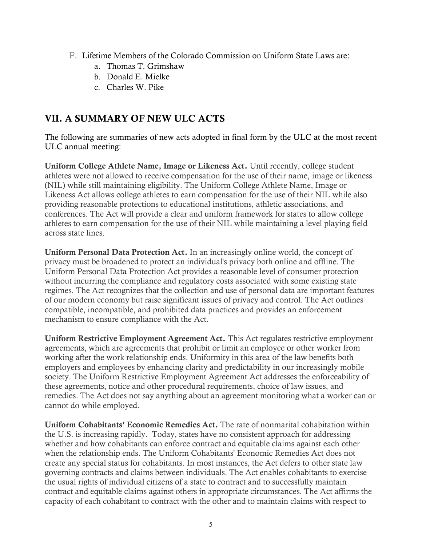- F. Lifetime Members of the Colorado Commission on Uniform State Laws are:
	- a. Thomas T. Grimshaw
	- b. Donald E. Mielke
	- c. Charles W. Pike

#### VII. A SUMMARY OF NEW ULC ACTS

The following are summaries of new acts adopted in final form by the ULC at the most recent ULC annual meeting:

Uniform College Athlete Name, Image or Likeness Act. Until recently, college student athletes were not allowed to receive compensation for the use of their name, image or likeness (NIL) while still maintaining eligibility. The Uniform College Athlete Name, Image or Likeness Act allows college athletes to earn compensation for the use of their NIL while also providing reasonable protections to educational institutions, athletic associations, and conferences. The Act will provide a clear and uniform framework for states to allow college athletes to earn compensation for the use of their NIL while maintaining a level playing field across state lines.

Uniform Personal Data Protection Act. In an increasingly online world, the concept of privacy must be broadened to protect an individual's privacy both online and offline. The Uniform Personal Data Protection Act provides a reasonable level of consumer protection without incurring the compliance and regulatory costs associated with some existing state regimes. The Act recognizes that the collection and use of personal data are important features of our modern economy but raise significant issues of privacy and control. The Act outlines compatible, incompatible, and prohibited data practices and provides an enforcement mechanism to ensure compliance with the Act.

Uniform Restrictive Employment Agreement Act. This Act regulates restrictive employment agreements, which are agreements that prohibit or limit an employee or other worker from working after the work relationship ends. Uniformity in this area of the law benefits both employers and employees by enhancing clarity and predictability in our increasingly mobile society. The Uniform Restrictive Employment Agreement Act addresses the enforceability of these agreements, notice and other procedural requirements, choice of law issues, and remedies. The Act does not say anything about an agreement monitoring what a worker can or cannot do while employed.

Uniform Cohabitants' Economic Remedies Act. The rate of nonmarital cohabitation within the U.S. is increasing rapidly. Today, states have no consistent approach for addressing whether and how cohabitants can enforce contract and equitable claims against each other when the relationship ends. The Uniform Cohabitants' Economic Remedies Act does not create any special status for cohabitants. In most instances, the Act defers to other state law governing contracts and claims between individuals. The Act enables cohabitants to exercise the usual rights of individual citizens of a state to contract and to successfully maintain contract and equitable claims against others in appropriate circumstances. The Act affirms the capacity of each cohabitant to contract with the other and to maintain claims with respect to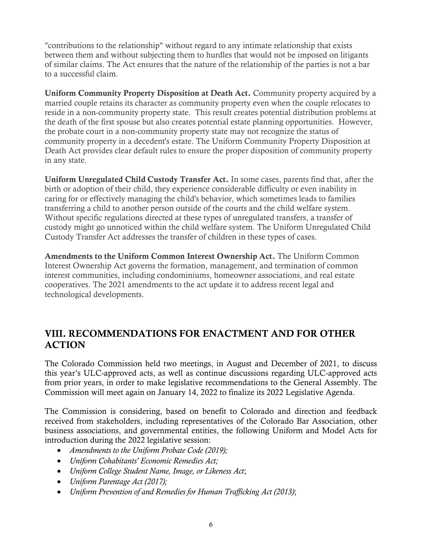"contributions to the relationship" without regard to any intimate relationship that exists between them and without subjecting them to hurdles that would not be imposed on litigants of similar claims. The Act ensures that the nature of the relationship of the parties is not a bar to a successful claim.

Uniform Community Property Disposition at Death Act. Community property acquired by a married couple retains its character as community property even when the couple relocates to reside in a non-community property state. This result creates potential distribution problems at the death of the first spouse but also creates potential estate planning opportunities. However, the probate court in a non-community property state may not recognize the status of community property in a decedent's estate. The Uniform Community Property Disposition at Death Act provides clear default rules to ensure the proper disposition of community property in any state.

Uniform Unregulated Child Custody Transfer Act. In some cases, parents find that, after the birth or adoption of their child, they experience considerable difficulty or even inability in caring for or effectively managing the child's behavior, which sometimes leads to families transferring a child to another person outside of the courts and the child welfare system. Without specific regulations directed at these types of unregulated transfers, a transfer of custody might go unnoticed within the child welfare system. The Uniform Unregulated Child Custody Transfer Act addresses the transfer of children in these types of cases.

Amendments to the Uniform Common Interest Ownership Act. The Uniform Common Interest Ownership Act governs the formation, management, and termination of common interest communities, including condominiums, homeowner associations, and real estate cooperatives. The 2021 amendments to the act update it to address recent legal and technological developments.

#### VIII. RECOMMENDATIONS FOR ENACTMENT AND FOR OTHER ACTION

The Colorado Commission held two meetings, in August and December of 2021, to discuss this year's ULC-approved acts, as well as continue discussions regarding ULC-approved acts from prior years, in order to make legislative recommendations to the General Assembly. The Commission will meet again on January 14, 2022 to finalize its 2022 Legislative Agenda.

The Commission is considering, based on benefit to Colorado and direction and feedback received from stakeholders, including representatives of the Colorado Bar Association, other business associations, and governmental entities, the following Uniform and Model Acts for introduction during the 2022 legislative session:

- *Amendments to the Uniform Probate Code (2019);*
- *Uniform Cohabitants' Economic Remedies Act;*
- *Uniform College Student Name, Image, or Likeness Act*;
- *Uniform Parentage Act (2017);*
- *Uniform Prevention of and Remedies for Human Trafficking Act (2013)*;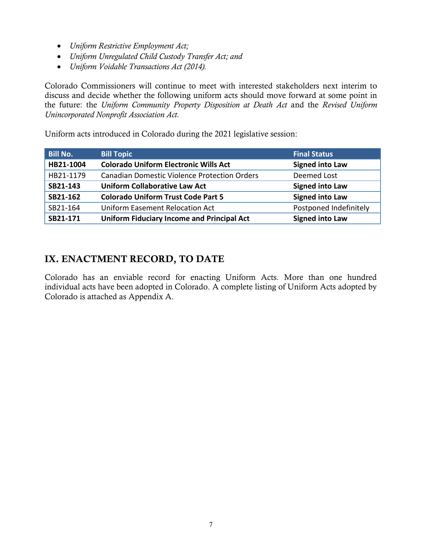- *Uniform Restrictive Employment Act;*
- *Uniform Unregulated Child Custody Transfer Act; and*
- *Uniform Voidable Transactions Act (2014).*

Colorado Commissioners will continue to meet with interested stakeholders next interim to discuss and decide whether the following uniform acts should move forward at some point in the future: the *Uniform Community Property Disposition at Death Act* and the *Revised Uniform Unincorporated Nonprofit Association Act.*

Uniform acts introduced in Colorado during the 2021 legislative session:

| <b>Bill No.</b> | <b>Bill Topic</b>                                   | <b>Final Status</b>    |
|-----------------|-----------------------------------------------------|------------------------|
| HB21-1004       | <b>Colorado Uniform Electronic Wills Act</b>        | <b>Signed into Law</b> |
| HB21-1179       | <b>Canadian Domestic Violence Protection Orders</b> | Deemed Lost            |
| SB21-143        | <b>Uniform Collaborative Law Act</b>                | <b>Signed into Law</b> |
| SB21-162        | <b>Colorado Uniform Trust Code Part 5</b>           | <b>Signed into Law</b> |
| SB21-164        | <b>Uniform Easement Relocation Act</b>              | Postponed Indefinitely |
| SB21-171        | <b>Uniform Fiduciary Income and Principal Act</b>   | <b>Signed into Law</b> |

#### IX. ENACTMENT RECORD, TO DATE

Colorado has an enviable record for enacting Uniform Acts. More than one hundred individual acts have been adopted in Colorado. A complete listing of Uniform Acts adopted by Colorado is attached as Appendix A.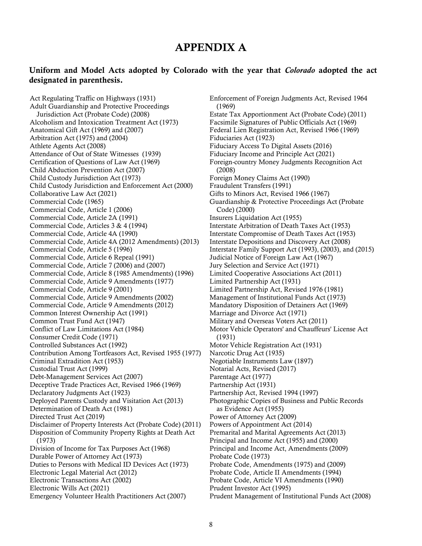#### APPENDIX A

#### Uniform and Model Acts adopted by Colorado with the year that *Colorado* adopted the act designated in parenthesis.

Act Regulating Traffic on Highways (1931) Adult Guardianship and Protective Proceedings Jurisdiction Act (Probate Code) (2008) Alcoholism and Intoxication Treatment Act (1973) Anatomical Gift Act (1969) and (2007) Arbitration Act (1975) and (2004) Athlete Agents Act (2008) Attendance of Out of State Witnesses (1939) Certification of Questions of Law Act (1969) Child Abduction Prevention Act (2007) Child Custody Jurisdiction Act (1973) Child Custody Jurisdiction and Enforcement Act (2000) Collaborative Law Act (2021) Commercial Code (1965) Commercial Code, Article 1 (2006) Commercial Code, Article 2A (1991) Commercial Code, Articles 3 & 4 (1994) Commercial Code, Article 4A (1990) Commercial Code, Article 4A (2012 Amendments) (2013) Commercial Code, Article 5 (1996) Commercial Code, Article 6 Repeal (1991) Commercial Code, Article 7 (2006) and (2007) Commercial Code, Article 8 (1985 Amendments) (1996) Commercial Code, Article 9 Amendments (1977) Commercial Code, Article 9 (2001) Commercial Code, Article 9 Amendments (2002) Commercial Code, Article 9 Amendments (2012) Common Interest Ownership Act (1991) Common Trust Fund Act (1947) Conflict of Law Limitations Act (1984) Consumer Credit Code (1971) Controlled Substances Act (1992) Contribution Among Tortfeasors Act, Revised 1955 (1977) Criminal Extradition Act (1953) Custodial Trust Act (1999) Debt-Management Services Act (2007) Deceptive Trade Practices Act, Revised 1966 (1969) Declaratory Judgments Act (1923) Deployed Parents Custody and Visitation Act (2013) Determination of Death Act (1981) Directed Trust Act (2019) Disclaimer of Property Interests Act (Probate Code) (2011) Disposition of Community Property Rights at Death Act (1973) Division of Income for Tax Purposes Act (1968) Durable Power of Attorney Act (1973) Duties to Persons with Medical ID Devices Act (1973) Electronic Legal Material Act (2012) Electronic Transactions Act (2002) Electronic Wills Act (2021) Emergency Volunteer Health Practitioners Act (2007)

Enforcement of Foreign Judgments Act, Revised 1964 (1969) Estate Tax Apportionment Act (Probate Code) (2011) Facsimile Signatures of Public Officials Act (1969) Federal Lien Registration Act, Revised 1966 (1969) Fiduciaries Act (1923) Fiduciary Access To Digital Assets (2016) Fiduciary Income and Principle Act (2021) Foreign-country Money Judgments Recognition Act (2008) Foreign Money Claims Act (1990) Fraudulent Transfers (1991) Gifts to Minors Act, Revised 1966 (1967) Guardianship & Protective Proceedings Act (Probate Code) (2000) Insurers Liquidation Act (1955) Interstate Arbitration of Death Taxes Act (1953) Interstate Compromise of Death Taxes Act (1953) Interstate Depositions and Discovery Act (2008) Interstate Family Support Act (1993), (2003), and (2015) Judicial Notice of Foreign Law Act (1967) Jury Selection and Service Act (1971) Limited Cooperative Associations Act (2011) Limited Partnership Act (1931) Limited Partnership Act, Revised 1976 (1981) Management of Institutional Funds Act (1973) Mandatory Disposition of Detainers Act (1969) Marriage and Divorce Act (1971) Military and Overseas Voters Act (2011) Motor Vehicle Operators' and Chauffeurs' License Act (1931) Motor Vehicle Registration Act (1931) Narcotic Drug Act (1935) Negotiable Instruments Law (1897) Notarial Acts, Revised (2017) Parentage Act (1977) Partnership Act (1931) Partnership Act, Revised 1994 (1997) Photographic Copies of Business and Public Records as Evidence Act (1955) Power of Attorney Act (2009) Powers of Appointment Act (2014) Premarital and Marital Agreements Act (2013) Principal and Income Act (1955) and (2000) Principal and Income Act, Amendments (2009) Probate Code (1973) Probate Code, Amendments (1975) and (2009) Probate Code, Article II Amendments (1994) Probate Code, Article VI Amendments (1990) Prudent Investor Act (1995) Prudent Management of Institutional Funds Act (2008)